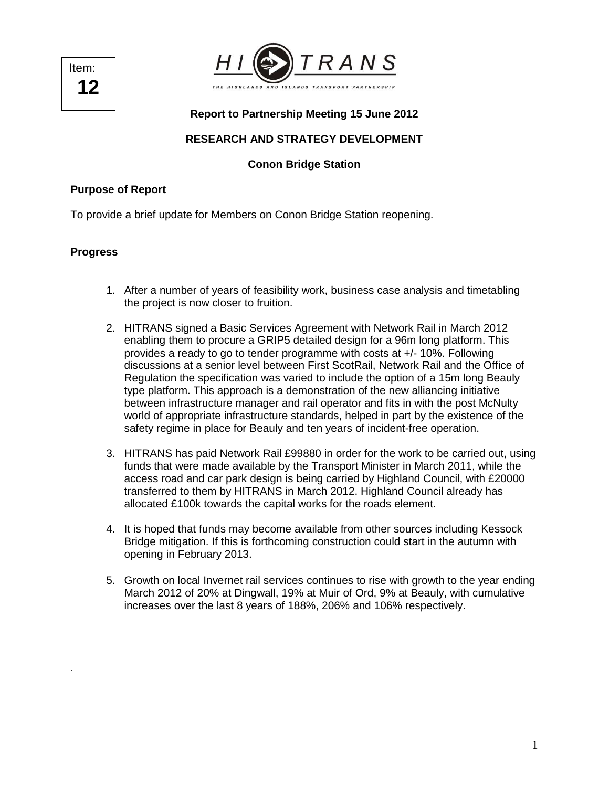Item: **12** 



## **Report to Partnership Meeting 15 June 2012**

# **RESEARCH AND STRATEGY DEVELOPMENT**

### **Conon Bridge Station**

### **Purpose of Report**

To provide a brief update for Members on Conon Bridge Station reopening.

#### **Progress**

.

- 1. After a number of years of feasibility work, business case analysis and timetabling the project is now closer to fruition.
- 2. HITRANS signed a Basic Services Agreement with Network Rail in March 2012 enabling them to procure a GRIP5 detailed design for a 96m long platform. This provides a ready to go to tender programme with costs at +/- 10%. Following discussions at a senior level between First ScotRail, Network Rail and the Office of Regulation the specification was varied to include the option of a 15m long Beauly type platform. This approach is a demonstration of the new alliancing initiative between infrastructure manager and rail operator and fits in with the post McNulty world of appropriate infrastructure standards, helped in part by the existence of the safety regime in place for Beauly and ten years of incident-free operation.
- 3. HITRANS has paid Network Rail £99880 in order for the work to be carried out, using funds that were made available by the Transport Minister in March 2011, while the access road and car park design is being carried by Highland Council, with £20000 transferred to them by HITRANS in March 2012. Highland Council already has allocated £100k towards the capital works for the roads element.
- 4. It is hoped that funds may become available from other sources including Kessock Bridge mitigation. If this is forthcoming construction could start in the autumn with opening in February 2013.
- 5. Growth on local Invernet rail services continues to rise with growth to the year ending March 2012 of 20% at Dingwall, 19% at Muir of Ord, 9% at Beauly, with cumulative increases over the last 8 years of 188%, 206% and 106% respectively.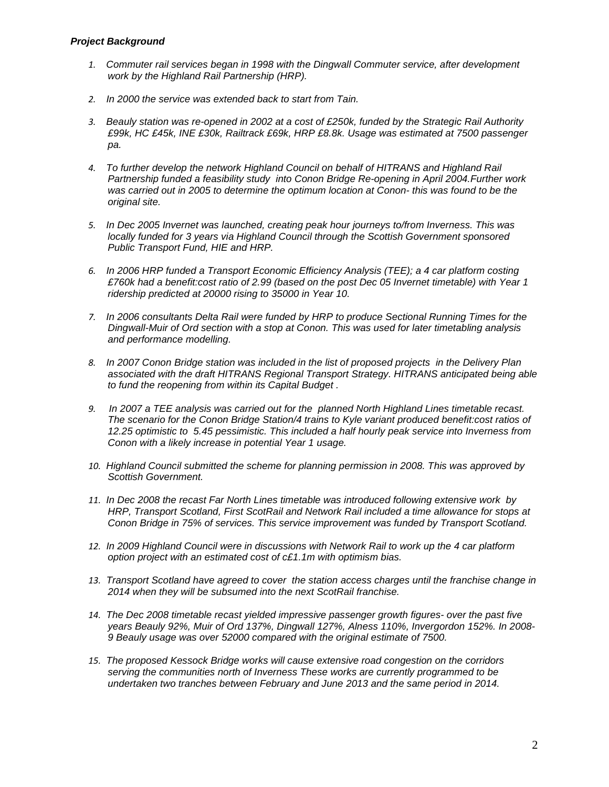- 1. Commuter rail services began in 1998 with the Dingwall Commuter service, after development work by the Highland Rail Partnership (HRP).
- 2. In 2000 the service was extended back to start from Tain.
- 3. Beauly station was re-opened in 2002 at a cost of £250k, funded by the Strategic Rail Authority £99k, HC £45k, INE £30k, Railtrack £69k, HRP £8.8k. Usage was estimated at 7500 passenger pa.
- 4. To further develop the network Highland Council on behalf of HITRANS and Highland Rail Partnership funded a feasibility study into Conon Bridge Re-opening in April 2004.Further work was carried out in 2005 to determine the optimum location at Conon- this was found to be the original site.
- 5. In Dec 2005 Invernet was launched, creating peak hour journeys to/from Inverness. This was locally funded for 3 years via Highland Council through the Scottish Government sponsored Public Transport Fund, HIE and HRP.
- 6. In 2006 HRP funded a Transport Economic Efficiency Analysis (TEE); a 4 car platform costing £760k had a benefit:cost ratio of 2.99 (based on the post Dec 05 Invernet timetable) with Year 1 ridership predicted at 20000 rising to 35000 in Year 10.
- 7. In 2006 consultants Delta Rail were funded by HRP to produce Sectional Running Times for the Dingwall-Muir of Ord section with a stop at Conon. This was used for later timetabling analysis and performance modelling.
- 8. In 2007 Conon Bridge station was included in the list of proposed projects in the Delivery Plan associated with the draft HITRANS Regional Transport Strategy. HITRANS anticipated being able to fund the reopening from within its Capital Budget .
- 9. In 2007 a TEE analysis was carried out for the planned North Highland Lines timetable recast. The scenario for the Conon Bridge Station/4 trains to Kyle variant produced benefit:cost ratios of 12.25 optimistic to 5.45 pessimistic. This included a half hourly peak service into Inverness from Conon with a likely increase in potential Year 1 usage.
- 10. Highland Council submitted the scheme for planning permission in 2008. This was approved by Scottish Government.
- 11. In Dec 2008 the recast Far North Lines timetable was introduced following extensive work by HRP, Transport Scotland, First ScotRail and Network Rail included a time allowance for stops at Conon Bridge in 75% of services. This service improvement was funded by Transport Scotland.
- 12. In 2009 Highland Council were in discussions with Network Rail to work up the 4 car platform option project with an estimated cost of c£1.1m with optimism bias.
- 13. Transport Scotland have agreed to cover the station access charges until the franchise change in 2014 when they will be subsumed into the next ScotRail franchise.
- 14. The Dec 2008 timetable recast yielded impressive passenger growth figures- over the past five years Beauly 92%, Muir of Ord 137%, Dingwall 127%, Alness 110%, Invergordon 152%. In 2008- 9 Beauly usage was over 52000 compared with the original estimate of 7500.
- 15. The proposed Kessock Bridge works will cause extensive road congestion on the corridors serving the communities north of Inverness These works are currently programmed to be undertaken two tranches between February and June 2013 and the same period in 2014.